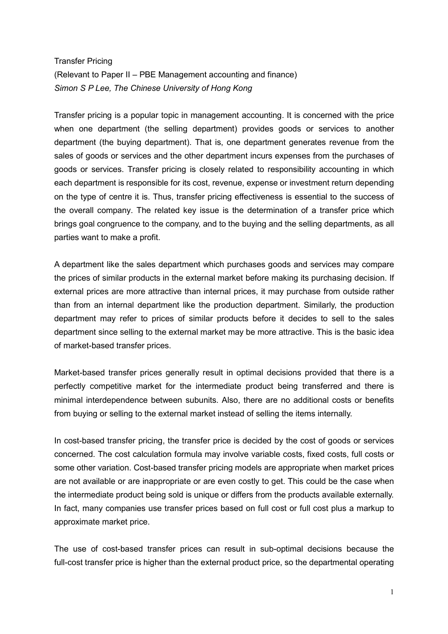## Transfer Pricing (Relevant to Paper II – PBE Management accounting and finance) Simon S P Lee, The Chinese University of Hong Kong

Transfer pricing is a popular topic in management accounting. It is concerned with the price when one department (the selling department) provides goods or services to another department (the buying department). That is, one department generates revenue from the sales of goods or services and the other department incurs expenses from the purchases of goods or services. Transfer pricing is closely related to responsibility accounting in which each department is responsible for its cost, revenue, expense or investment return depending on the type of centre it is. Thus, transfer pricing effectiveness is essential to the success of the overall company. The related key issue is the determination of a transfer price which brings goal congruence to the company, and to the buying and the selling departments, as all parties want to make a profit.

A department like the sales department which purchases goods and services may compare the prices of similar products in the external market before making its purchasing decision. If external prices are more attractive than internal prices, it may purchase from outside rather than from an internal department like the production department. Similarly, the production department may refer to prices of similar products before it decides to sell to the sales department since selling to the external market may be more attractive. This is the basic idea of market-based transfer prices.

Market-based transfer prices generally result in optimal decisions provided that there is a perfectly competitive market for the intermediate product being transferred and there is minimal interdependence between subunits. Also, there are no additional costs or benefits from buying or selling to the external market instead of selling the items internally.

In cost-based transfer pricing, the transfer price is decided by the cost of goods or services concerned. The cost calculation formula may involve variable costs, fixed costs, full costs or some other variation. Cost-based transfer pricing models are appropriate when market prices are not available or are inappropriate or are even costly to get. This could be the case when the intermediate product being sold is unique or differs from the products available externally. In fact, many companies use transfer prices based on full cost or full cost plus a markup to approximate market price.

The use of cost-based transfer prices can result in sub-optimal decisions because the full-cost transfer price is higher than the external product price, so the departmental operating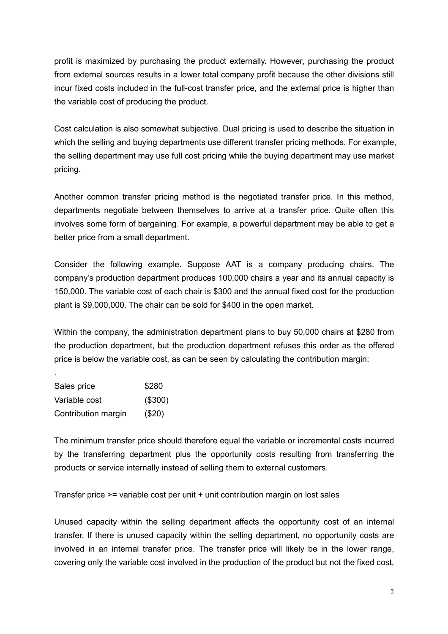profit is maximized by purchasing the product externally. However, purchasing the product from external sources results in a lower total company profit because the other divisions still incur fixed costs included in the full-cost transfer price, and the external price is higher than the variable cost of producing the product.

Cost calculation is also somewhat subjective. Dual pricing is used to describe the situation in which the selling and buying departments use different transfer pricing methods. For example, the selling department may use full cost pricing while the buying department may use market pricing.

Another common transfer pricing method is the negotiated transfer price. In this method, departments negotiate between themselves to arrive at a transfer price. Quite often this involves some form of bargaining. For example, a powerful department may be able to get a better price from a small department.

Consider the following example. Suppose AAT is a company producing chairs. The company's production department produces 100,000 chairs a year and its annual capacity is 150,000. The variable cost of each chair is \$300 and the annual fixed cost for the production plant is \$9,000,000. The chair can be sold for \$400 in the open market.

Within the company, the administration department plans to buy 50,000 chairs at \$280 from the production department, but the production department refuses this order as the offered price is below the variable cost, as can be seen by calculating the contribution margin:

Sales price \$280 Variable cost (\$300) Contribution margin (\$20)

.

The minimum transfer price should therefore equal the variable or incremental costs incurred by the transferring department plus the opportunity costs resulting from transferring the products or service internally instead of selling them to external customers.

Transfer price >= variable cost per unit + unit contribution margin on lost sales

Unused capacity within the selling department affects the opportunity cost of an internal transfer. If there is unused capacity within the selling department, no opportunity costs are involved in an internal transfer price. The transfer price will likely be in the lower range, covering only the variable cost involved in the production of the product but not the fixed cost,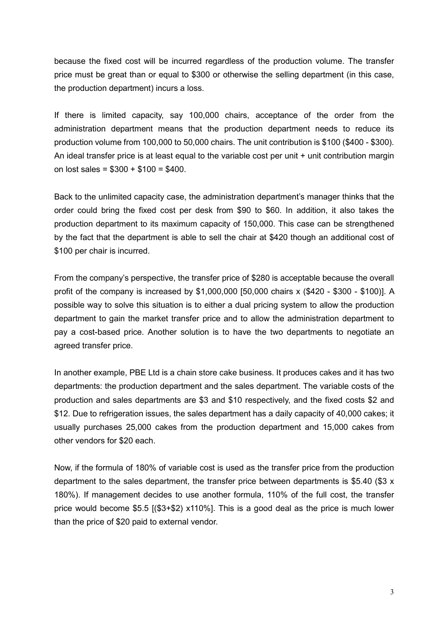because the fixed cost will be incurred regardless of the production volume. The transfer price must be great than or equal to \$300 or otherwise the selling department (in this case, the production department) incurs a loss.

If there is limited capacity, say 100,000 chairs, acceptance of the order from the administration department means that the production department needs to reduce its production volume from 100,000 to 50,000 chairs. The unit contribution is \$100 (\$400 - \$300). An ideal transfer price is at least equal to the variable cost per unit  $+$  unit contribution margin on lost sales = \$300 + \$100 = \$400.

Back to the unlimited capacity case, the administration department's manager thinks that the order could bring the fixed cost per desk from \$90 to \$60. In addition, it also takes the production department to its maximum capacity of 150,000. This case can be strengthened by the fact that the department is able to sell the chair at \$420 though an additional cost of \$100 per chair is incurred.

From the company's perspective, the transfer price of \$280 is acceptable because the overall profit of the company is increased by \$1,000,000 [50,000 chairs x (\$420 - \$300 - \$100)]. A possible way to solve this situation is to either a dual pricing system to allow the production department to gain the market transfer price and to allow the administration department to pay a cost-based price. Another solution is to have the two departments to negotiate an agreed transfer price.

In another example, PBE Ltd is a chain store cake business. It produces cakes and it has two departments: the production department and the sales department. The variable costs of the production and sales departments are \$3 and \$10 respectively, and the fixed costs \$2 and \$12. Due to refrigeration issues, the sales department has a daily capacity of 40,000 cakes; it usually purchases 25,000 cakes from the production department and 15,000 cakes from other vendors for \$20 each.

Now, if the formula of 180% of variable cost is used as the transfer price from the production department to the sales department, the transfer price between departments is \$5.40 (\$3 x 180%). If management decides to use another formula, 110% of the full cost, the transfer price would become \$5.5 [(\$3+\$2) x110%]. This is a good deal as the price is much lower than the price of \$20 paid to external vendor.